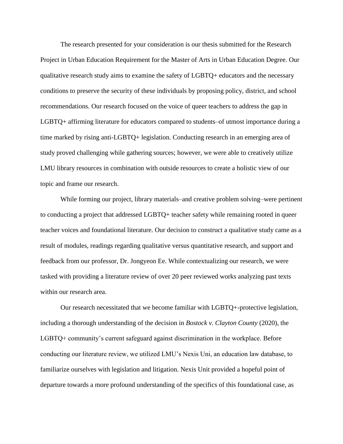The research presented for your consideration is our thesis submitted for the Research Project in Urban Education Requirement for the Master of Arts in Urban Education Degree. Our qualitative research study aims to examine the safety of LGBTQ+ educators and the necessary conditions to preserve the security of these individuals by proposing policy, district, and school recommendations. Our research focused on the voice of queer teachers to address the gap in LGBTQ+ affirming literature for educators compared to students–of utmost importance during a time marked by rising anti-LGBTQ+ legislation. Conducting research in an emerging area of study proved challenging while gathering sources; however, we were able to creatively utilize LMU library resources in combination with outside resources to create a holistic view of our topic and frame our research.

While forming our project, library materials–and creative problem solving–were pertinent to conducting a project that addressed LGBTQ+ teacher safety while remaining rooted in queer teacher voices and foundational literature. Our decision to construct a qualitative study came as a result of modules, readings regarding qualitative versus quantitative research, and support and feedback from our professor, Dr. Jongyeon Ee. While contextualizing our research, we were tasked with providing a literature review of over 20 peer reviewed works analyzing past texts within our research area.

Our research necessitated that we become familiar with LGBTQ+-protective legislation, including a thorough understanding of the decision in *Bostock v. Clayton County* (2020), the LGBTQ+ community's current safeguard against discrimination in the workplace. Before conducting our literature review, we utilized LMU's Nexis Uni, an education law database, to familiarize ourselves with legislation and litigation. Nexis Unit provided a hopeful point of departure towards a more profound understanding of the specifics of this foundational case, as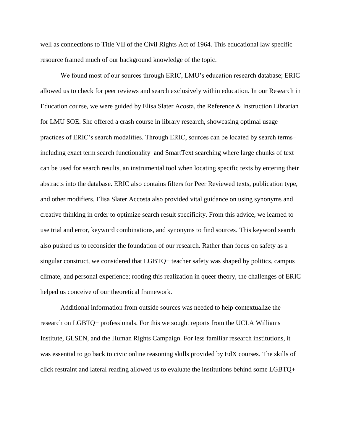well as connections to Title VII of the Civil Rights Act of 1964. This educational law specific resource framed much of our background knowledge of the topic.

We found most of our sources through ERIC, LMU's education research database; ERIC allowed us to check for peer reviews and search exclusively within education. In our Research in Education course, we were guided by Elisa Slater Acosta, the Reference & Instruction Librarian for LMU SOE. She offered a crash course in library research, showcasing optimal usage practices of ERIC's search modalities. Through ERIC, sources can be located by search terms– including exact term search functionality–and SmartText searching where large chunks of text can be used for search results, an instrumental tool when locating specific texts by entering their abstracts into the database. ERIC also contains filters for Peer Reviewed texts, publication type, and other modifiers. Elisa Slater Accosta also provided vital guidance on using synonyms and creative thinking in order to optimize search result specificity. From this advice, we learned to use trial and error, keyword combinations, and synonyms to find sources. This keyword search also pushed us to reconsider the foundation of our research. Rather than focus on safety as a singular construct, we considered that LGBTQ+ teacher safety was shaped by politics, campus climate, and personal experience; rooting this realization in queer theory, the challenges of ERIC helped us conceive of our theoretical framework.

Additional information from outside sources was needed to help contextualize the research on LGBTQ+ professionals. For this we sought reports from the UCLA Williams Institute, GLSEN, and the Human Rights Campaign. For less familiar research institutions, it was essential to go back to civic online reasoning skills provided by EdX courses. The skills of click restraint and lateral reading allowed us to evaluate the institutions behind some LGBTQ+